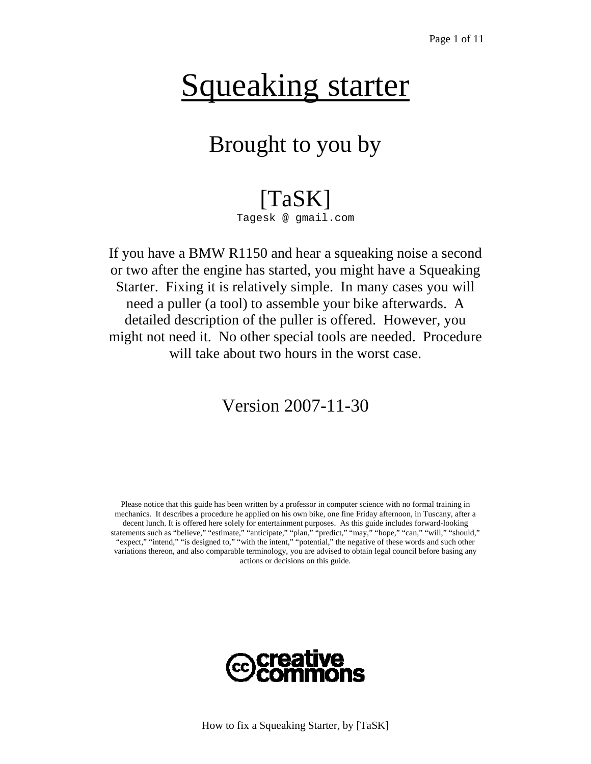## Squeaking starter

### Brought to you by

## [TaSK]

Tagesk @ gmail.com

If you have a BMW R1150 and hear a squeaking noise a second or two after the engine has started, you might have a Squeaking Starter. Fixing it is relatively simple. In many cases you will need a puller (a tool) to assemble your bike afterwards. A detailed description of the puller is offered. However, you might not need it. No other special tools are needed. Procedure will take about two hours in the worst case.

#### Version 2007-11-30

Please notice that this guide has been written by a professor in computer science with no formal training in mechanics. It describes a procedure he applied on his own bike, one fine Friday afternoon, in Tuscany, after a decent lunch. It is offered here solely for entertainment purposes. As this guide includes forward-looking statements such as "believe," "estimate," "anticipate," "plan," "predict," "may," "hope," "can," "will," "should," "expect," "intend," "is designed to," "with the intent," "potential," the negative of these words and such other variations thereon, and also comparable terminology, you are advised to obtain legal council before basing any actions or decisions on this guide.

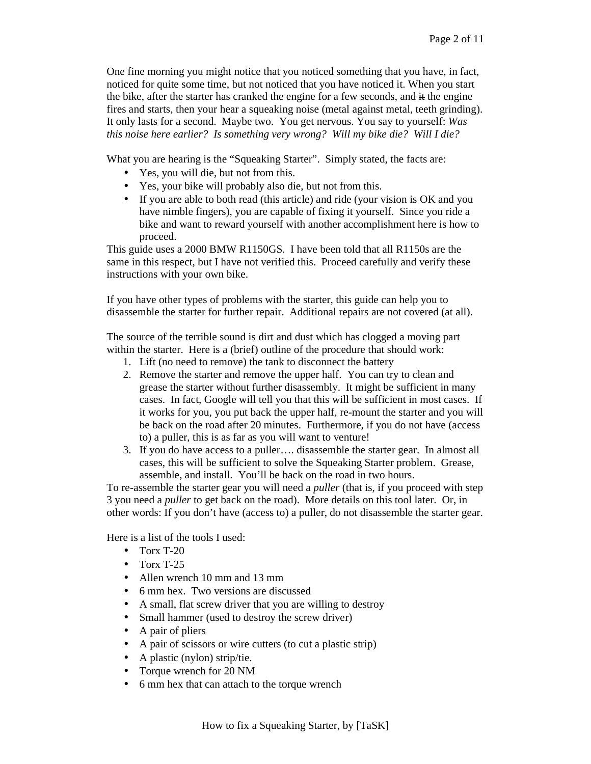One fine morning you might notice that you noticed something that you have, in fact, noticed for quite some time, but not noticed that you have noticed it. When you start the bike, after the starter has cranked the engine for a few seconds, and  $\ddot{\textbf{t}}$  the engine fires and starts, then your hear a squeaking noise (metal against metal, teeth grinding). It only lasts for a second. Maybe two. You get nervous. You say to yourself: *Was this noise here earlier? Is something very wrong? Will my bike die? Will I die?* 

What you are hearing is the "Squeaking Starter". Simply stated, the facts are:

- Yes, you will die, but not from this.
- Yes, your bike will probably also die, but not from this.
- If you are able to both read (this article) and ride (your vision is OK and you have nimble fingers), you are capable of fixing it yourself. Since you ride a bike and want to reward yourself with another accomplishment here is how to proceed.

This guide uses a 2000 BMW R1150GS. I have been told that all R1150s are the same in this respect, but I have not verified this. Proceed carefully and verify these instructions with your own bike.

If you have other types of problems with the starter, this guide can help you to disassemble the starter for further repair. Additional repairs are not covered (at all).

The source of the terrible sound is dirt and dust which has clogged a moving part within the starter. Here is a (brief) outline of the procedure that should work:

- 1. Lift (no need to remove) the tank to disconnect the battery
- 2. Remove the starter and remove the upper half. You can try to clean and grease the starter without further disassembly. It might be sufficient in many cases. In fact, Google will tell you that this will be sufficient in most cases. If it works for you, you put back the upper half, re-mount the starter and you will be back on the road after 20 minutes. Furthermore, if you do not have (access to) a puller, this is as far as you will want to venture!
- 3. If you do have access to a puller…. disassemble the starter gear. In almost all cases, this will be sufficient to solve the Squeaking Starter problem. Grease, assemble, and install. You'll be back on the road in two hours.

To re-assemble the starter gear you will need a *puller* (that is, if you proceed with step 3 you need a *puller* to get back on the road). More details on this tool later. Or, in other words: If you don't have (access to) a puller, do not disassemble the starter gear.

Here is a list of the tools I used:

- Torx T-20
- $\bullet$  Torx T-25
- Allen wrench 10 mm and 13 mm
- 6 mm hex. Two versions are discussed
- A small, flat screw driver that you are willing to destroy
- Small hammer (used to destroy the screw driver)
- A pair of pliers
- A pair of scissors or wire cutters (to cut a plastic strip)
- A plastic (nylon) strip/tie.
- Torque wrench for 20 NM
- 6 mm hex that can attach to the torque wrench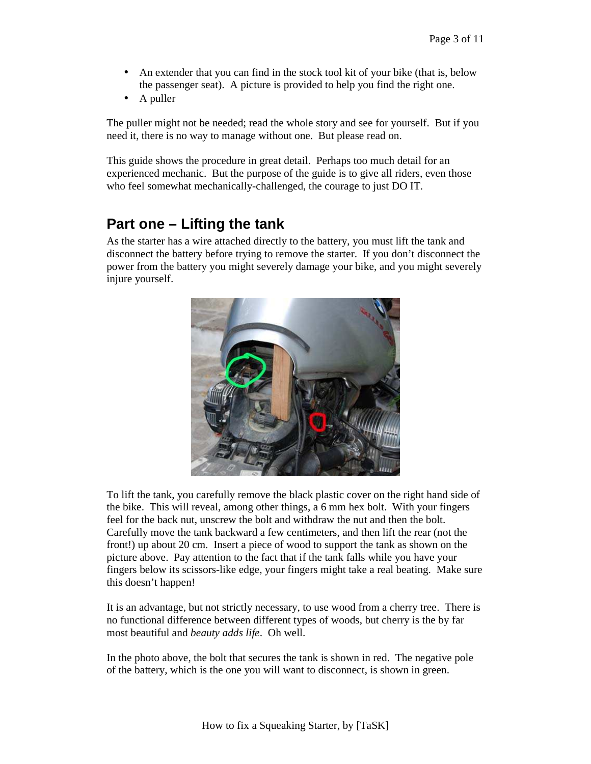- An extender that you can find in the stock tool kit of your bike (that is, below the passenger seat). A picture is provided to help you find the right one.
- A puller

The puller might not be needed; read the whole story and see for yourself. But if you need it, there is no way to manage without one. But please read on.

This guide shows the procedure in great detail. Perhaps too much detail for an experienced mechanic. But the purpose of the guide is to give all riders, even those who feel somewhat mechanically-challenged, the courage to just DO IT.

#### **Part one – Lifting the tank**

As the starter has a wire attached directly to the battery, you must lift the tank and disconnect the battery before trying to remove the starter. If you don't disconnect the power from the battery you might severely damage your bike, and you might severely injure yourself.



To lift the tank, you carefully remove the black plastic cover on the right hand side of the bike. This will reveal, among other things, a 6 mm hex bolt. With your fingers feel for the back nut, unscrew the bolt and withdraw the nut and then the bolt. Carefully move the tank backward a few centimeters, and then lift the rear (not the front!) up about 20 cm. Insert a piece of wood to support the tank as shown on the picture above. Pay attention to the fact that if the tank falls while you have your fingers below its scissors-like edge, your fingers might take a real beating. Make sure this doesn't happen!

It is an advantage, but not strictly necessary, to use wood from a cherry tree. There is no functional difference between different types of woods, but cherry is the by far most beautiful and *beauty adds life*. Oh well.

In the photo above, the bolt that secures the tank is shown in red. The negative pole of the battery, which is the one you will want to disconnect, is shown in green.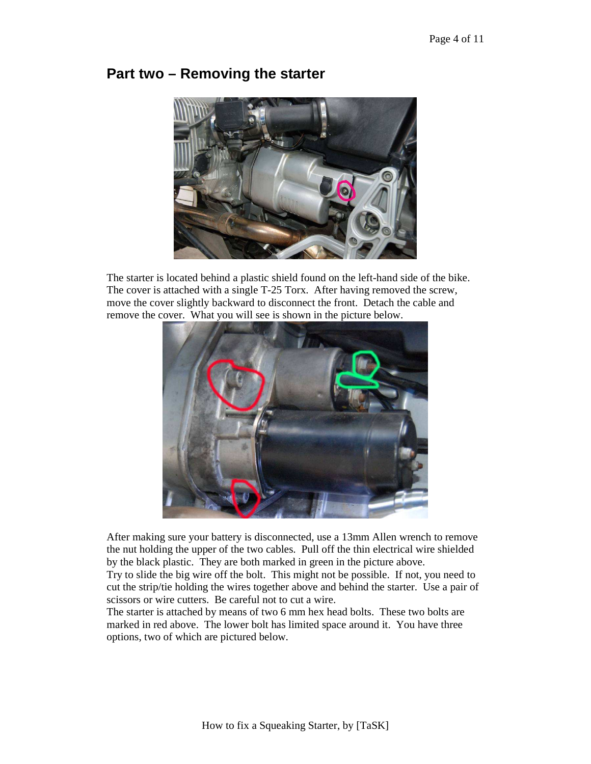# **Part two – Removing the starter**



The starter is located behind a plastic shield found on the left-hand side of the bike. The cover is attached with a single T-25 Torx. After having removed the screw, move the cover slightly backward to disconnect the front. Detach the cable and remove the cover. What you will see is shown in the picture below.



After making sure your battery is disconnected, use a 13mm Allen wrench to remove the nut holding the upper of the two cables. Pull off the thin electrical wire shielded by the black plastic. They are both marked in green in the picture above.

Try to slide the big wire off the bolt. This might not be possible. If not, you need to cut the strip/tie holding the wires together above and behind the starter. Use a pair of scissors or wire cutters. Be careful not to cut a wire.

The starter is attached by means of two 6 mm hex head bolts. These two bolts are marked in red above. The lower bolt has limited space around it. You have three options, two of which are pictured below.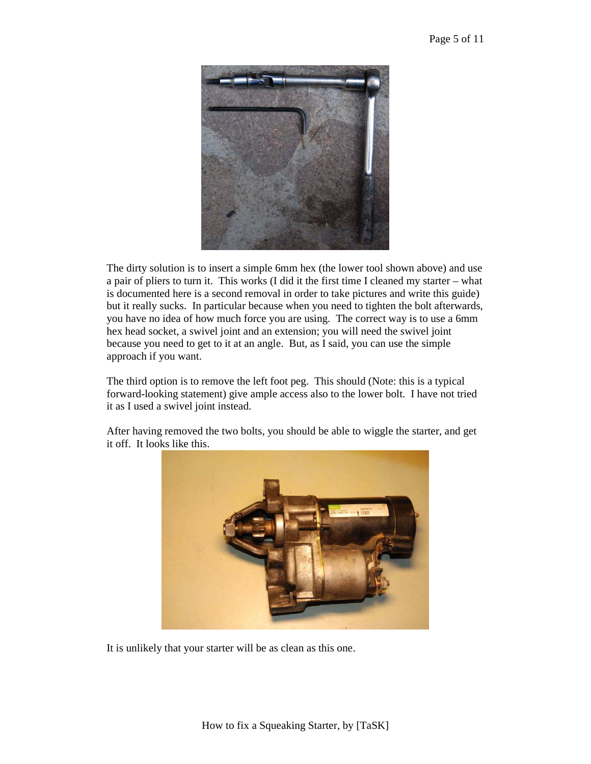

The dirty solution is to insert a simple 6mm hex (the lower tool shown above) and use a pair of pliers to turn it. This works (I did it the first time I cleaned my starter – what is documented here is a second removal in order to take pictures and write this guide) but it really sucks. In particular because when you need to tighten the bolt afterwards, you have no idea of how much force you are using. The correct way is to use a 6mm hex head socket, a swivel joint and an extension; you will need the swivel joint because you need to get to it at an angle. But, as I said, you can use the simple approach if you want.

The third option is to remove the left foot peg. This should (Note: this is a typical forward-looking statement) give ample access also to the lower bolt. I have not tried it as I used a swivel joint instead.

After having removed the two bolts, you should be able to wiggle the starter, and get it off. It looks like this.



It is unlikely that your starter will be as clean as this one.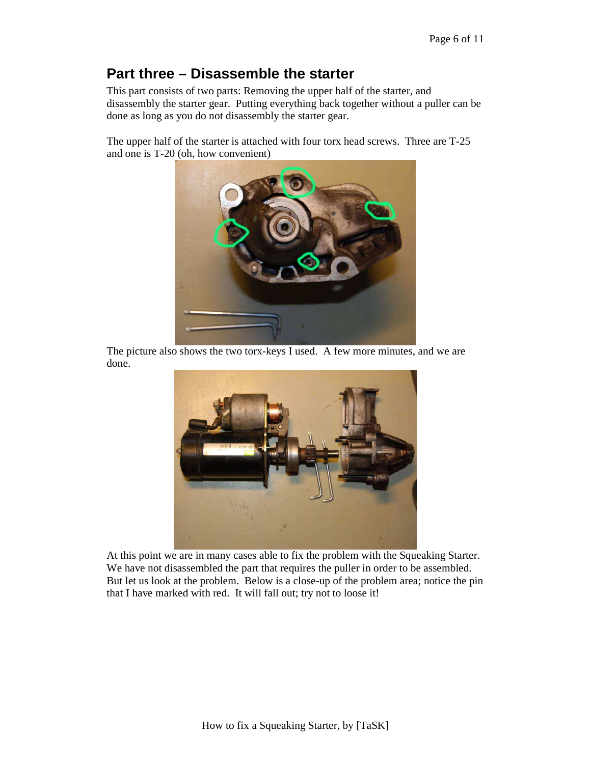#### **Part three – Disassemble the starter**

This part consists of two parts: Removing the upper half of the starter, and disassembly the starter gear. Putting everything back together without a puller can be done as long as you do not disassembly the starter gear.

The upper half of the starter is attached with four torx head screws. Three are T-25 and one is T-20 (oh, how convenient)



The picture also shows the two torx-keys I used. A few more minutes, and we are done.



At this point we are in many cases able to fix the problem with the Squeaking Starter. We have not disassembled the part that requires the puller in order to be assembled. But let us look at the problem. Below is a close-up of the problem area; notice the pin that I have marked with red. It will fall out; try not to loose it!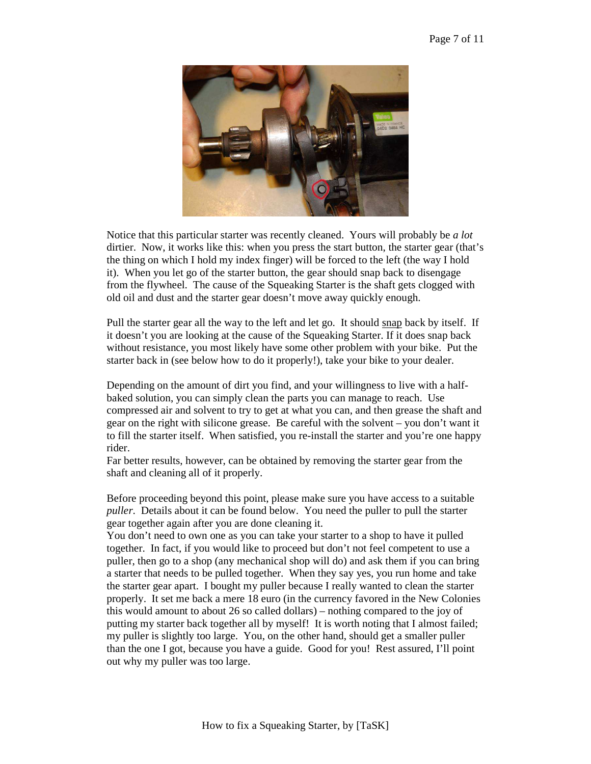

Notice that this particular starter was recently cleaned. Yours will probably be *a lot* dirtier. Now, it works like this: when you press the start button, the starter gear (that's the thing on which I hold my index finger) will be forced to the left (the way I hold it). When you let go of the starter button, the gear should snap back to disengage from the flywheel. The cause of the Squeaking Starter is the shaft gets clogged with old oil and dust and the starter gear doesn't move away quickly enough.

Pull the starter gear all the way to the left and let go. It should snap back by itself. If it doesn't you are looking at the cause of the Squeaking Starter. If it does snap back without resistance, you most likely have some other problem with your bike. Put the starter back in (see below how to do it properly!), take your bike to your dealer.

Depending on the amount of dirt you find, and your willingness to live with a halfbaked solution, you can simply clean the parts you can manage to reach. Use compressed air and solvent to try to get at what you can, and then grease the shaft and gear on the right with silicone grease. Be careful with the solvent – you don't want it to fill the starter itself. When satisfied, you re-install the starter and you're one happy rider.

Far better results, however, can be obtained by removing the starter gear from the shaft and cleaning all of it properly.

Before proceeding beyond this point, please make sure you have access to a suitable *puller*. Details about it can be found below. You need the puller to pull the starter gear together again after you are done cleaning it.

You don't need to own one as you can take your starter to a shop to have it pulled together. In fact, if you would like to proceed but don't not feel competent to use a puller, then go to a shop (any mechanical shop will do) and ask them if you can bring a starter that needs to be pulled together. When they say yes, you run home and take the starter gear apart. I bought my puller because I really wanted to clean the starter properly. It set me back a mere 18 euro (in the currency favored in the New Colonies this would amount to about 26 so called dollars) – nothing compared to the joy of putting my starter back together all by myself! It is worth noting that I almost failed; my puller is slightly too large. You, on the other hand, should get a smaller puller than the one I got, because you have a guide. Good for you! Rest assured, I'll point out why my puller was too large.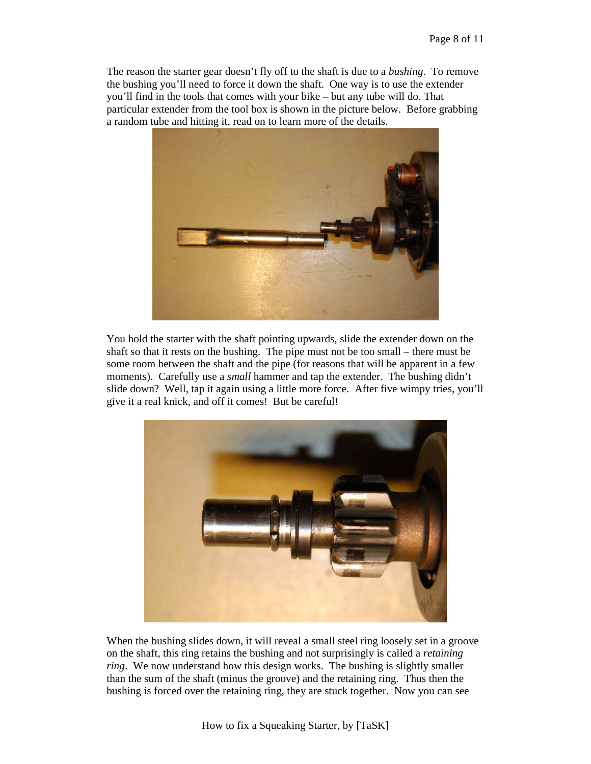The reason the starter gear doesn't fly off to the shaft is due to a *bushing*. To remove the bushing you'll need to force it down the shaft. One way is to use the extender you'll find in the tools that comes with your bike – but any tube will do. That particular extender from the tool box is shown in the picture below. Before grabbing a random tube and hitting it, read on to learn more of the details.



You hold the starter with the shaft pointing upwards, slide the extender down on the shaft so that it rests on the bushing. The pipe must not be too small – there must be some room between the shaft and the pipe (for reasons that will be apparent in a few moments). Carefully use a *small* hammer and tap the extender. The bushing didn't slide down? Well, tap it again using a little more force. After five wimpy tries, you'll give it a real knick, and off it comes! But be careful!



When the bushing slides down, it will reveal a small steel ring loosely set in a groove on the shaft, this ring retains the bushing and not surprisingly is called a *retaining ring*. We now understand how this design works. The bushing is slightly smaller than the sum of the shaft (minus the groove) and the retaining ring. Thus then the bushing is forced over the retaining ring, they are stuck together. Now you can see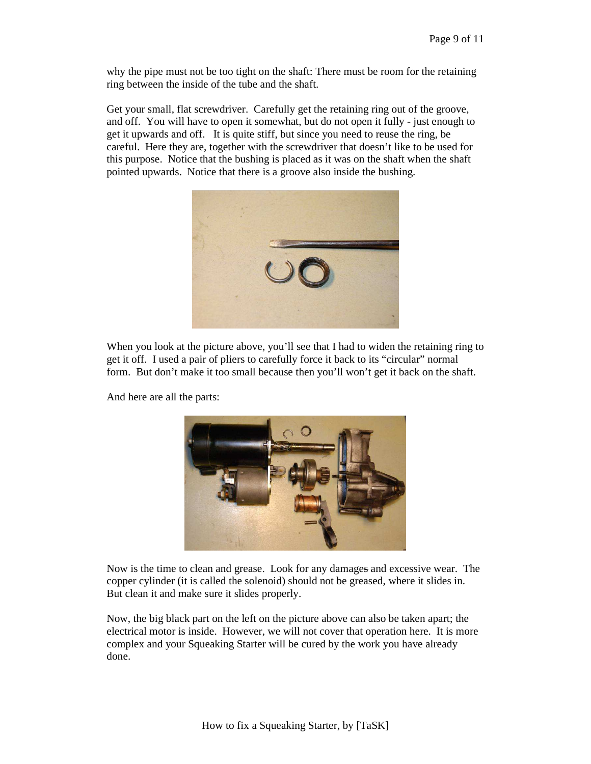why the pipe must not be too tight on the shaft: There must be room for the retaining ring between the inside of the tube and the shaft.

Get your small, flat screwdriver. Carefully get the retaining ring out of the groove, and off. You will have to open it somewhat, but do not open it fully - just enough to get it upwards and off. It is quite stiff, but since you need to reuse the ring, be careful. Here they are, together with the screwdriver that doesn't like to be used for this purpose. Notice that the bushing is placed as it was on the shaft when the shaft pointed upwards. Notice that there is a groove also inside the bushing.



When you look at the picture above, you'll see that I had to widen the retaining ring to get it off. I used a pair of pliers to carefully force it back to its "circular" normal form. But don't make it too small because then you'll won't get it back on the shaft.

And here are all the parts:



Now is the time to clean and grease. Look for any damages and excessive wear. The copper cylinder (it is called the solenoid) should not be greased, where it slides in. But clean it and make sure it slides properly.

Now, the big black part on the left on the picture above can also be taken apart; the electrical motor is inside. However, we will not cover that operation here. It is more complex and your Squeaking Starter will be cured by the work you have already done.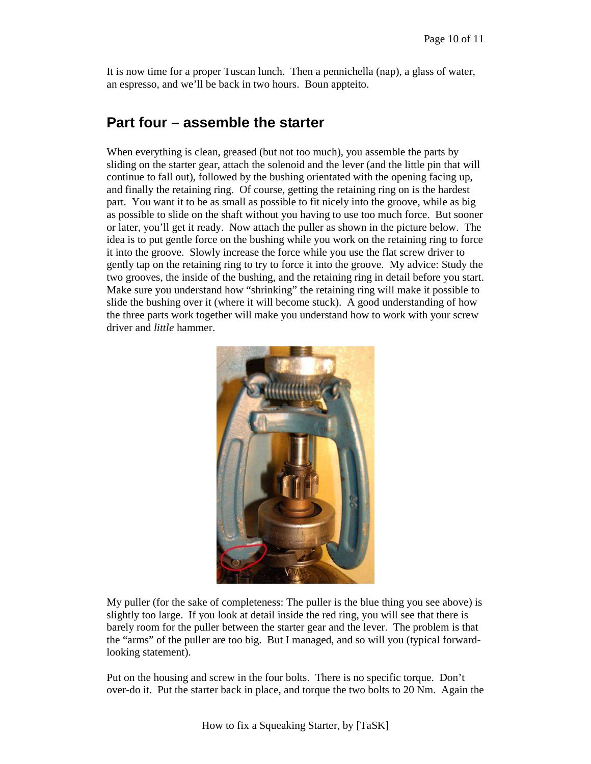It is now time for a proper Tuscan lunch. Then a pennichella (nap), a glass of water, an espresso, and we'll be back in two hours. Boun appteito.

#### **Part four – assemble the starter**

When everything is clean, greased (but not too much), you assemble the parts by sliding on the starter gear, attach the solenoid and the lever (and the little pin that will continue to fall out), followed by the bushing orientated with the opening facing up, and finally the retaining ring. Of course, getting the retaining ring on is the hardest part. You want it to be as small as possible to fit nicely into the groove, while as big as possible to slide on the shaft without you having to use too much force. But sooner or later, you'll get it ready. Now attach the puller as shown in the picture below. The idea is to put gentle force on the bushing while you work on the retaining ring to force it into the groove. Slowly increase the force while you use the flat screw driver to gently tap on the retaining ring to try to force it into the groove. My advice: Study the two grooves, the inside of the bushing, and the retaining ring in detail before you start. Make sure you understand how "shrinking" the retaining ring will make it possible to slide the bushing over it (where it will become stuck). A good understanding of how the three parts work together will make you understand how to work with your screw driver and *little* hammer.



My puller (for the sake of completeness: The puller is the blue thing you see above) is slightly too large. If you look at detail inside the red ring, you will see that there is barely room for the puller between the starter gear and the lever. The problem is that the "arms" of the puller are too big. But I managed, and so will you (typical forwardlooking statement).

Put on the housing and screw in the four bolts. There is no specific torque. Don't over-do it. Put the starter back in place, and torque the two bolts to 20 Nm. Again the